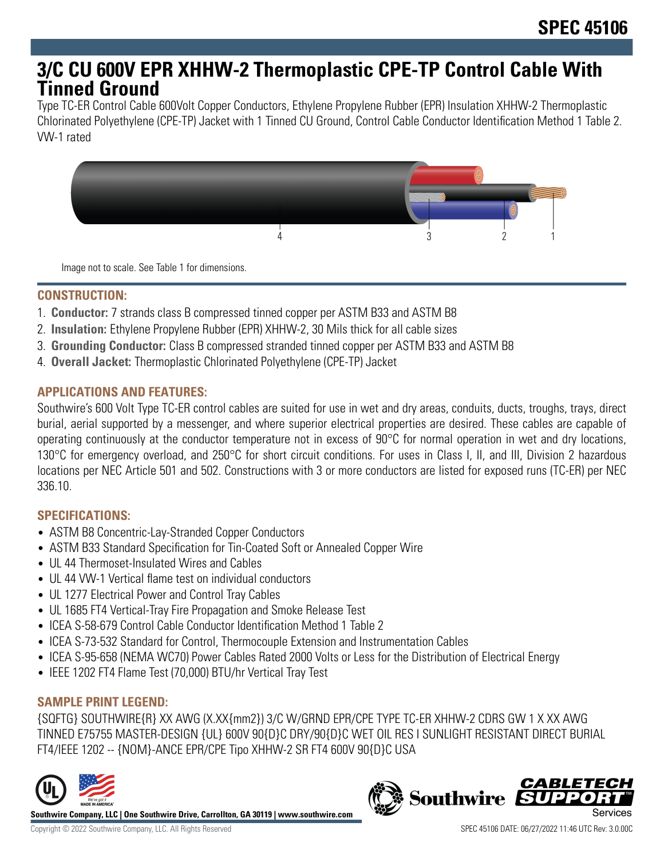# **3/C CU 600V EPR XHHW-2 Thermoplastic CPE-TP Control Cable With Tinned Ground**

Type TC-ER Control Cable 600Volt Copper Conductors, Ethylene Propylene Rubber (EPR) Insulation XHHW-2 Thermoplastic Chlorinated Polyethylene (CPE-TP) Jacket with 1 Tinned CU Ground, Control Cable Conductor Identification Method 1 Table 2. VW-1 rated



Image not to scale. See Table 1 for dimensions.

#### **CONSTRUCTION:**

- 1. **Conductor:** 7 strands class B compressed tinned copper per ASTM B33 and ASTM B8
- 2. **Insulation:** Ethylene Propylene Rubber (EPR) XHHW-2, 30 Mils thick for all cable sizes
- 3. **Grounding Conductor:** Class B compressed stranded tinned copper per ASTM B33 and ASTM B8
- 4. **Overall Jacket:** Thermoplastic Chlorinated Polyethylene (CPE-TP) Jacket

### **APPLICATIONS AND FEATURES:**

Southwire's 600 Volt Type TC-ER control cables are suited for use in wet and dry areas, conduits, ducts, troughs, trays, direct burial, aerial supported by a messenger, and where superior electrical properties are desired. These cables are capable of operating continuously at the conductor temperature not in excess of 90°C for normal operation in wet and dry locations, 130°C for emergency overload, and 250°C for short circuit conditions. For uses in Class I, II, and III, Division 2 hazardous locations per NEC Article 501 and 502. Constructions with 3 or more conductors are listed for exposed runs (TC-ER) per NEC 336.10.

#### **SPECIFICATIONS:**

- ASTM B8 Concentric-Lay-Stranded Copper Conductors
- ASTM B33 Standard Specification for Tin-Coated Soft or Annealed Copper Wire
- UL 44 Thermoset-Insulated Wires and Cables
- UL 44 VW-1 Vertical flame test on individual conductors
- UL 1277 Electrical Power and Control Tray Cables
- UL 1685 FT4 Vertical-Tray Fire Propagation and Smoke Release Test
- ICEA S-58-679 Control Cable Conductor Identification Method 1 Table 2
- ICEA S-73-532 Standard for Control, Thermocouple Extension and Instrumentation Cables
- ICEA S-95-658 (NEMA WC70) Power Cables Rated 2000 Volts or Less for the Distribution of Electrical Energy
- IEEE 1202 FT4 Flame Test (70,000) BTU/hr Vertical Tray Test

#### **SAMPLE PRINT LEGEND:**

{SQFTG} SOUTHWIRE{R} XX AWG (X.XX{mm2}) 3/C W/GRND EPR/CPE TYPE TC-ER XHHW-2 CDRS GW 1 X XX AWG TINNED E75755 MASTER-DESIGN {UL} 600V 90{D}C DRY/90{D}C WET OIL RES I SUNLIGHT RESISTANT DIRECT BURIAL FT4/IEEE 1202 -- {NOM}-ANCE EPR/CPE Tipo XHHW-2 SR FT4 600V 90{D}C USA



**Southwire Company, LLC | One Southwire Drive, Carrollton, GA 30119 | www.southwire.com**